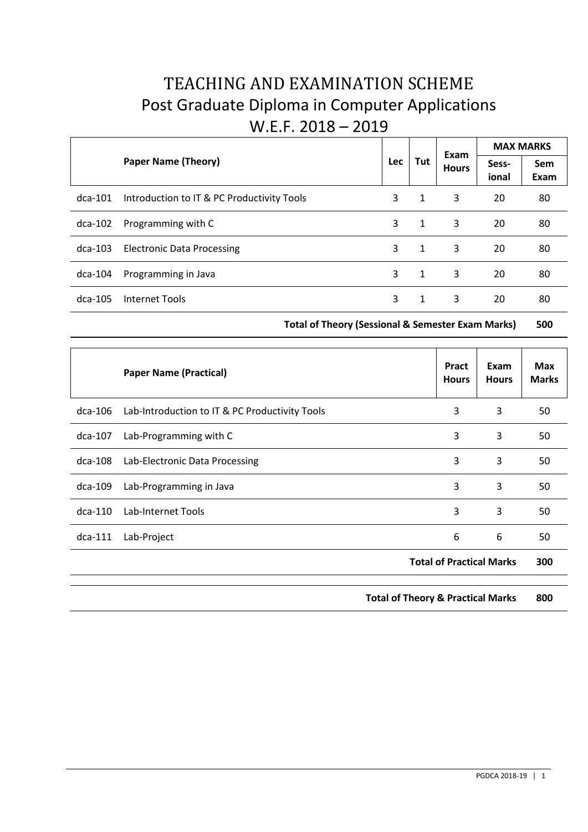# TEACHING AND EXAMINATION SCHEME Post Graduate Diploma in Computer Applications W.E.F. 2018 – 2019

|           | <b>Paper Name (Theory)</b>                 | <b>Lec</b> | Tut          | Exam<br><b>Hours</b> | <b>MAX MARKS</b> |             |
|-----------|--------------------------------------------|------------|--------------|----------------------|------------------|-------------|
|           |                                            |            |              |                      | Sess-<br>ional   | Sem<br>Exam |
| $dca-101$ | Introduction to IT & PC Productivity Tools | 3          | 1            | 3                    | 20               | 80          |
| dca-102   | Programming with C                         | 3          | 1            | 3                    | 20               | 80          |
| $dca-103$ | <b>Electronic Data Processing</b>          | 3          | 1            | 3                    | 20               | 80          |
| $dca-104$ | Programming in Java                        | 3          | $\mathbf{1}$ | 3                    | 20               | 80          |
| $dca-105$ | Internet Tools                             | 3          | 1            | 3                    | 20               | 80          |

**Total of Theory (Sessional & Semester Exam Marks) 500**

|           | <b>Paper Name (Practical)</b>                  |                                              | Pract<br><b>Hours</b> | Exam<br><b>Hours</b> | <b>Max</b><br><b>Marks</b> |
|-----------|------------------------------------------------|----------------------------------------------|-----------------------|----------------------|----------------------------|
| dca-106   | Lab-Introduction to IT & PC Productivity Tools |                                              | 3                     | 3                    | 50                         |
| $dca-107$ | Lab-Programming with C                         |                                              | 3                     | 3                    | 50                         |
| dca-108   | Lab-Electronic Data Processing                 |                                              | 3                     | 3                    | 50                         |
| dca-109   | Lab-Programming in Java                        |                                              | 3                     | 3                    | 50                         |
| $dca-110$ | Lab-Internet Tools                             |                                              | 3                     | 3                    | 50                         |
| $dca-111$ | Lab-Project                                    |                                              | 6                     | 6                    | 50                         |
|           |                                                | <b>Total of Practical Marks</b>              |                       | 300                  |                            |
|           |                                                | <b>Total of Theory &amp; Practical Marks</b> |                       |                      | 800                        |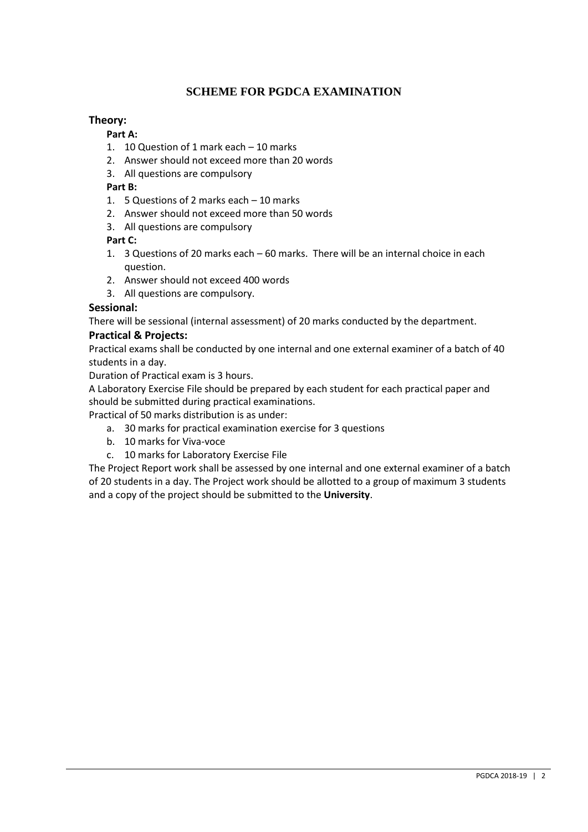# **SCHEME FOR PGDCA EXAMINATION**

## **Theory:**

#### **Part A:**

- 1. 10 Question of 1 mark each 10 marks
- 2. Answer should not exceed more than 20 words
- 3. All questions are compulsory

## **Part B:**

- 1. 5 Questions of 2 marks each 10 marks
- 2. Answer should not exceed more than 50 words
- 3. All questions are compulsory

#### **Part C:**

- 1. 3 Questions of 20 marks each 60 marks. There will be an internal choice in each question.
- 2. Answer should not exceed 400 words
- 3. All questions are compulsory.

#### **Sessional:**

There will be sessional (internal assessment) of 20 marks conducted by the department.

#### **Practical & Projects:**

Practical exams shall be conducted by one internal and one external examiner of a batch of 40 students in a day.

Duration of Practical exam is 3 hours.

A Laboratory Exercise File should be prepared by each student for each practical paper and should be submitted during practical examinations.

Practical of 50 marks distribution is as under:

- a. 30 marks for practical examination exercise for 3 questions
- b. 10 marks for Viva-voce
- c. 10 marks for Laboratory Exercise File

The Project Report work shall be assessed by one internal and one external examiner of a batch of 20 students in a day. The Project work should be allotted to a group of maximum 3 students and a copy of the project should be submitted to the **University**.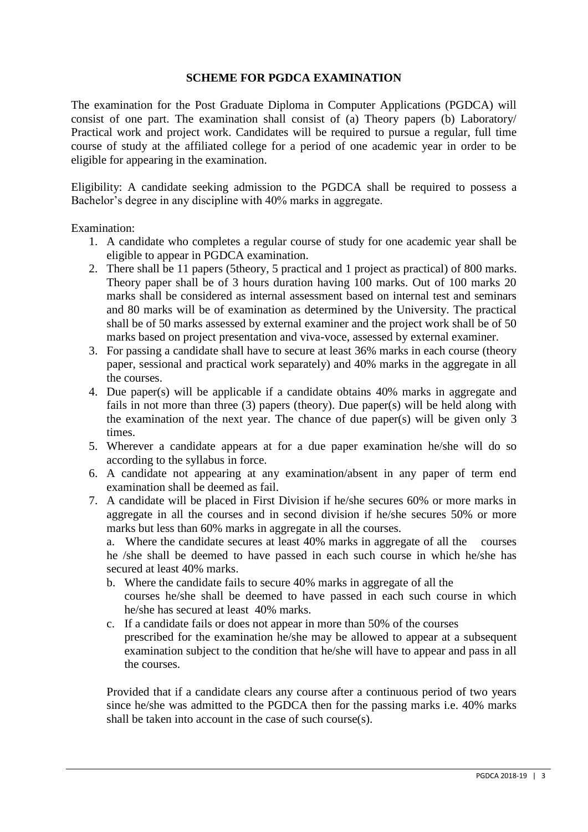# **SCHEME FOR PGDCA EXAMINATION**

The examination for the Post Graduate Diploma in Computer Applications (PGDCA) will consist of one part. The examination shall consist of (a) Theory papers (b) Laboratory/ Practical work and project work. Candidates will be required to pursue a regular, full time course of study at the affiliated college for a period of one academic year in order to be eligible for appearing in the examination.

Eligibility: A candidate seeking admission to the PGDCA shall be required to possess a Bachelor's degree in any discipline with 40% marks in aggregate.

Examination:

- 1. A candidate who completes a regular course of study for one academic year shall be eligible to appear in PGDCA examination.
- 2. There shall be 11 papers (5theory, 5 practical and 1 project as practical) of 800 marks. Theory paper shall be of 3 hours duration having 100 marks. Out of 100 marks 20 marks shall be considered as internal assessment based on internal test and seminars and 80 marks will be of examination as determined by the University. The practical shall be of 50 marks assessed by external examiner and the project work shall be of 50 marks based on project presentation and viva-voce, assessed by external examiner.
- 3. For passing a candidate shall have to secure at least 36% marks in each course (theory paper, sessional and practical work separately) and 40% marks in the aggregate in all the courses.
- 4. Due paper(s) will be applicable if a candidate obtains 40% marks in aggregate and fails in not more than three (3) papers (theory). Due paper(s) will be held along with the examination of the next year. The chance of due paper(s) will be given only 3 times.
- 5. Wherever a candidate appears at for a due paper examination he/she will do so according to the syllabus in force.
- 6. A candidate not appearing at any examination/absent in any paper of term end examination shall be deemed as fail.
- 7. A candidate will be placed in First Division if he/she secures 60% or more marks in aggregate in all the courses and in second division if he/she secures 50% or more marks but less than 60% marks in aggregate in all the courses.

a. Where the candidate secures at least 40% marks in aggregate of all the courses he /she shall be deemed to have passed in each such course in which he/she has secured at least 40% marks.

- b. Where the candidate fails to secure 40% marks in aggregate of all the courses he/she shall be deemed to have passed in each such course in which he/she has secured at least 40% marks.
- c. If a candidate fails or does not appear in more than 50% of the courses prescribed for the examination he/she may be allowed to appear at a subsequent examination subject to the condition that he/she will have to appear and pass in all the courses.

Provided that if a candidate clears any course after a continuous period of two years since he/she was admitted to the PGDCA then for the passing marks i.e. 40% marks shall be taken into account in the case of such course(s).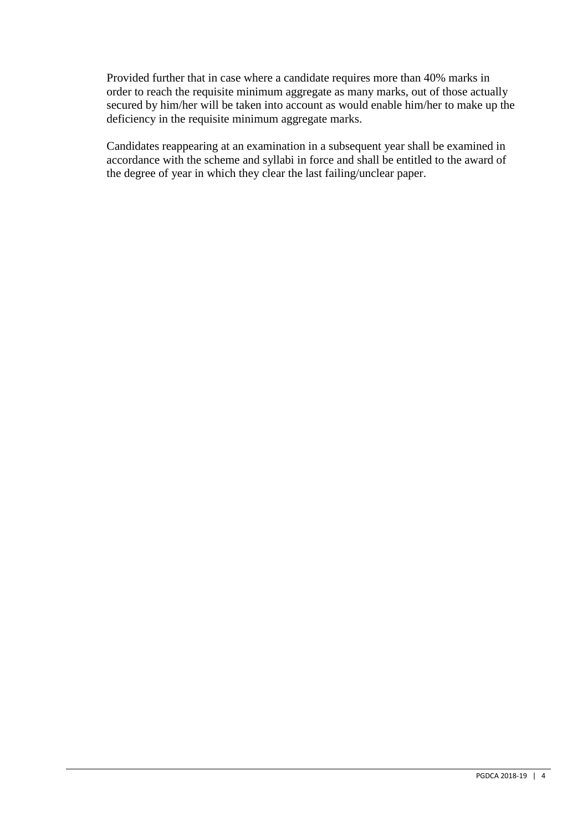Provided further that in case where a candidate requires more than 40% marks in order to reach the requisite minimum aggregate as many marks, out of those actually secured by him/her will be taken into account as would enable him/her to make up the deficiency in the requisite minimum aggregate marks.

Candidates reappearing at an examination in a subsequent year shall be examined in accordance with the scheme and syllabi in force and shall be entitled to the award of the degree of year in which they clear the last failing/unclear paper.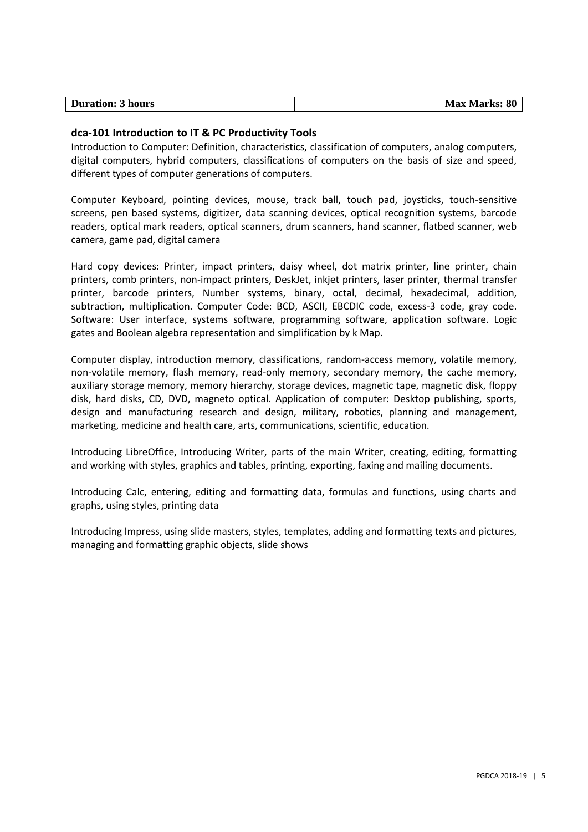## **dca-101 Introduction to IT & PC Productivity Tools**

Introduction to Computer: Definition, characteristics, classification of computers, analog computers, digital computers, hybrid computers, classifications of computers on the basis of size and speed, different types of computer generations of computers.

Computer Keyboard, pointing devices, mouse, track ball, touch pad, joysticks, touch-sensitive screens, pen based systems, digitizer, data scanning devices, optical recognition systems, barcode readers, optical mark readers, optical scanners, drum scanners, hand scanner, flatbed scanner, web camera, game pad, digital camera

Hard copy devices: Printer, impact printers, daisy wheel, dot matrix printer, line printer, chain printers, comb printers, non-impact printers, DeskJet, inkjet printers, laser printer, thermal transfer printer, barcode printers, Number systems, binary, octal, decimal, hexadecimal, addition, subtraction, multiplication. Computer Code: BCD, ASCII, EBCDIC code, excess-3 code, gray code. Software: User interface, systems software, programming software, application software. Logic gates and Boolean algebra representation and simplification by k Map.

Computer display, introduction memory, classifications, random-access memory, volatile memory, non-volatile memory, flash memory, read-only memory, secondary memory, the cache memory, auxiliary storage memory, memory hierarchy, storage devices, magnetic tape, magnetic disk, floppy disk, hard disks, CD, DVD, magneto optical. Application of computer: Desktop publishing, sports, design and manufacturing research and design, military, robotics, planning and management, marketing, medicine and health care, arts, communications, scientific, education.

Introducing LibreOffice, Introducing Writer, parts of the main Writer, creating, editing, formatting and working with styles, graphics and tables, printing, exporting, faxing and mailing documents.

Introducing Calc, entering, editing and formatting data, formulas and functions, using charts and graphs, using styles, printing data

Introducing Impress, using slide masters, styles, templates, adding and formatting texts and pictures, managing and formatting graphic objects, slide shows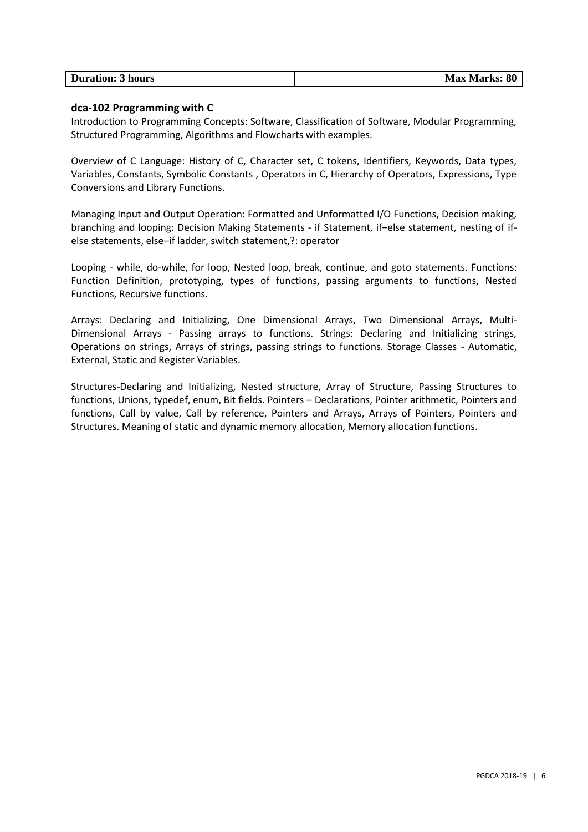| <b>Duration: 3 hours</b> | <b>Max Marks: 80</b> |
|--------------------------|----------------------|

#### **dca-102 Programming with C**

Introduction to Programming Concepts: Software, Classification of Software, Modular Programming, Structured Programming, Algorithms and Flowcharts with examples.

Overview of C Language: History of C, Character set, C tokens, Identifiers, Keywords, Data types, Variables, Constants, Symbolic Constants , Operators in C, Hierarchy of Operators, Expressions, Type Conversions and Library Functions.

Managing Input and Output Operation: Formatted and Unformatted I/O Functions, Decision making, branching and looping: Decision Making Statements - if Statement, if–else statement, nesting of ifelse statements, else–if ladder, switch statement,?: operator

Looping - while, do-while, for loop, Nested loop, break, continue, and goto statements. Functions: Function Definition, prototyping, types of functions, passing arguments to functions, Nested Functions, Recursive functions.

Arrays: Declaring and Initializing, One Dimensional Arrays, Two Dimensional Arrays, Multi-Dimensional Arrays - Passing arrays to functions. Strings: Declaring and Initializing strings, Operations on strings, Arrays of strings, passing strings to functions. Storage Classes - Automatic, External, Static and Register Variables.

Structures-Declaring and Initializing, Nested structure, Array of Structure, Passing Structures to functions, Unions, typedef, enum, Bit fields. Pointers – Declarations, Pointer arithmetic, Pointers and functions, Call by value, Call by reference, Pointers and Arrays, Arrays of Pointers, Pointers and Structures. Meaning of static and dynamic memory allocation, Memory allocation functions.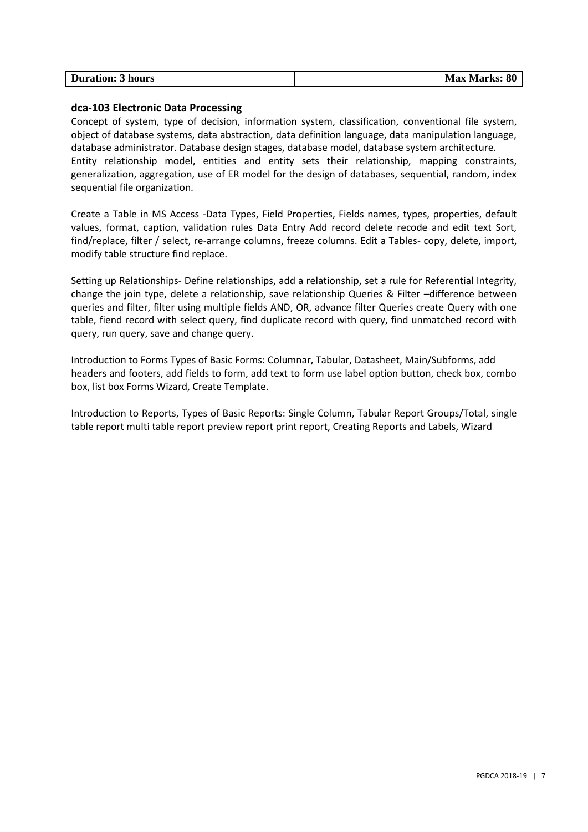| <b>Duration: 3 hours</b> | <b>Max Marks: 80</b> |
|--------------------------|----------------------|

#### **dca-103 Electronic Data Processing**

Concept of system, type of decision, information system, classification, conventional file system, object of database systems, data abstraction, data definition language, data manipulation language, database administrator. Database design stages, database model, database system architecture. Entity relationship model, entities and entity sets their relationship, mapping constraints, generalization, aggregation, use of ER model for the design of databases, sequential, random, index sequential file organization.

Create a Table in MS Access -Data Types, Field Properties, Fields names, types, properties, default values, format, caption, validation rules Data Entry Add record delete recode and edit text Sort, find/replace, filter / select, re-arrange columns, freeze columns. Edit a Tables- copy, delete, import, modify table structure find replace.

Setting up Relationships- Define relationships, add a relationship, set a rule for Referential Integrity, change the join type, delete a relationship, save relationship Queries & Filter –difference between queries and filter, filter using multiple fields AND, OR, advance filter Queries create Query with one table, fiend record with select query, find duplicate record with query, find unmatched record with query, run query, save and change query.

Introduction to Forms Types of Basic Forms: Columnar, Tabular, Datasheet, Main/Subforms, add headers and footers, add fields to form, add text to form use label option button, check box, combo box, list box Forms Wizard, Create Template.

Introduction to Reports, Types of Basic Reports: Single Column, Tabular Report Groups/Total, single table report multi table report preview report print report, Creating Reports and Labels, Wizard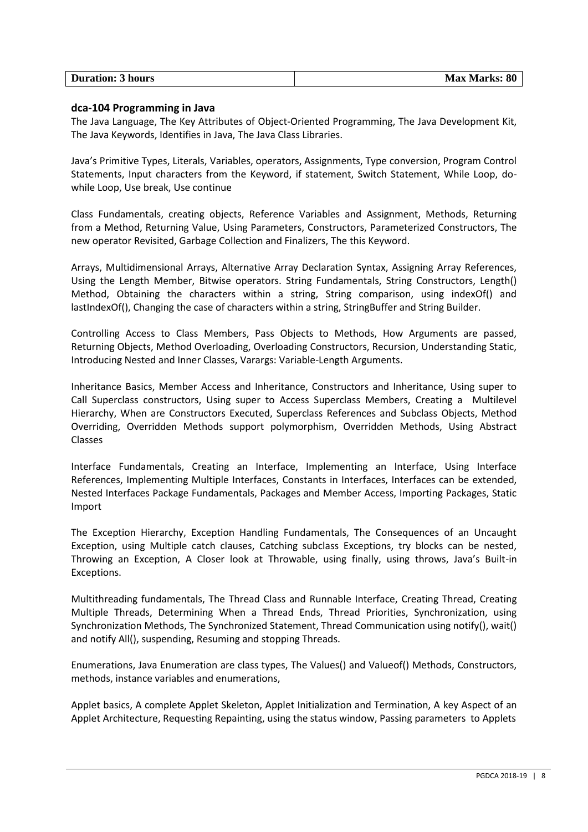| <b>Duration: 3 hours</b> | <b>Max Marks: 80</b> |
|--------------------------|----------------------|

#### **dca-104 Programming in Java**

The Java Language, The Key Attributes of Object-Oriented Programming, The Java Development Kit, The Java Keywords, Identifies in Java, The Java Class Libraries.

Java's Primitive Types, Literals, Variables, operators, Assignments, Type conversion, Program Control Statements, Input characters from the Keyword, if statement, Switch Statement, While Loop, dowhile Loop, Use break, Use continue

Class Fundamentals, creating objects, Reference Variables and Assignment, Methods, Returning from a Method, Returning Value, Using Parameters, Constructors, Parameterized Constructors, The new operator Revisited, Garbage Collection and Finalizers, The this Keyword.

Arrays, Multidimensional Arrays, Alternative Array Declaration Syntax, Assigning Array References, Using the Length Member, Bitwise operators. String Fundamentals, String Constructors, Length() Method, Obtaining the characters within a string, String comparison, using indexOf() and lastIndexOf(), Changing the case of characters within a string, StringBuffer and String Builder.

Controlling Access to Class Members, Pass Objects to Methods, How Arguments are passed, Returning Objects, Method Overloading, Overloading Constructors, Recursion, Understanding Static, Introducing Nested and Inner Classes, Varargs: Variable-Length Arguments.

Inheritance Basics, Member Access and Inheritance, Constructors and Inheritance, Using super to Call Superclass constructors, Using super to Access Superclass Members, Creating a Multilevel Hierarchy, When are Constructors Executed, Superclass References and Subclass Objects, Method Overriding, Overridden Methods support polymorphism, Overridden Methods, Using Abstract Classes

Interface Fundamentals, Creating an Interface, Implementing an Interface, Using Interface References, Implementing Multiple Interfaces, Constants in Interfaces, Interfaces can be extended, Nested Interfaces Package Fundamentals, Packages and Member Access, Importing Packages, Static Import

The Exception Hierarchy, Exception Handling Fundamentals, The Consequences of an Uncaught Exception, using Multiple catch clauses, Catching subclass Exceptions, try blocks can be nested, Throwing an Exception, A Closer look at Throwable, using finally, using throws, Java's Built-in Exceptions.

Multithreading fundamentals, The Thread Class and Runnable Interface, Creating Thread, Creating Multiple Threads, Determining When a Thread Ends, Thread Priorities, Synchronization, using Synchronization Methods, The Synchronized Statement, Thread Communication using notify(), wait() and notify All(), suspending, Resuming and stopping Threads.

Enumerations, Java Enumeration are class types, The Values() and Valueof() Methods, Constructors, methods, instance variables and enumerations,

Applet basics, A complete Applet Skeleton, Applet Initialization and Termination, A key Aspect of an Applet Architecture, Requesting Repainting, using the status window, Passing parameters to Applets